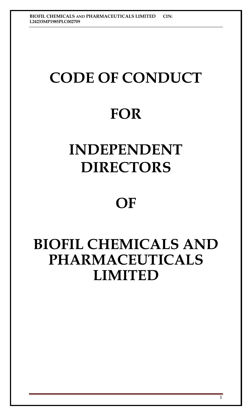# **CODE OF CONDUCT**

## **FOR**

## **INDEPENDENT DIRECTORS**

### **OF**

### **BIOFIL CHEMICALS AND PHARMACEUTICALS LIMITED**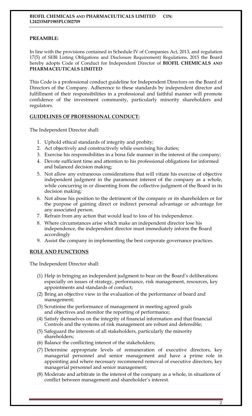#### **PREAMBLE:**

In line with the provisions contained in Schedule IV of Companies Act, 2013, and regulation 17(5) of SEBI Listing Obligations and Disclosure Requirement) Regulations, 2015 the Board hereby adopts Code of Conduct for Independent Director of **BIOFIL CHEMICALS AND PHARMACEUTICALS LIMITED** 

This Code is a professional conduct guideline for Independent Directors on the Board of Directors of the Company. Adherence to these standards by independent director and fulfillment of their responsibilities in a professional and faithful manner will promote confidence of the investment community, particularly minority shareholders and regulators.

#### **GUIDELINES OF PROFESSIONAL CONDUCT:**

The Independent Director shall:

- 1. Uphold ethical standards of integrity and probity;
- 2. Act objectively and constructively while exercising his duties;
- 3. Exercise his responsibilities in a bona fide manner in the interest of the company;
- 4. Devote sufficient time and attention to his professional obligations for informed and balanced decision making;
- 5. Not allow any extraneous considerations that will vitiate his exercise of objective independent judgment in the paramount interest of the company as a whole, while concurring in or dissenting from the collective judgment of the Board in its decision making;
- 6. Not abuse his position to the detriment of the company or its shareholders or for the purpose of gaining direct or indirect personal advantage or advantage for any associated person.
- 7. Refrain from any action that would lead to loss of his independence.
- 8. Where circumstances arise which make an independent director lose his independence, the independent director must immediately inform the Board accordingly
- 9. Assist the company in implementing the best corporate governance practices.

#### **ROLE AND FUNCTIONS**

The Independent Director shall:

- (1) Help in bringing an independent judgment to bear on the Board's deliberations especially on issues of strategy, performance, risk management, resources, key appointments and standards of conduct;
- (2) Bring an objective view in the evaluation of the performance of board and management;
- (3) Scrutinise the performance of management in meeting agreed goals and objectives and monitor the reporting of performance;
- (4) Satisfy themselves on the integrity of financial information and that financial Controls and the systems of risk management are robust and defensible;
- (5) Safeguard the interests of all stakeholders, particularly the minority shareholders;
- (6) Balance the conflicting interest of the stakeholders;
- (7) Determine appropriate levels of remuneration of executive directors, key managerial personnel and senior management and have a prime role in appointing and where necessary recommend removal of executive directors, key managerial personnel and senior management;
- (8) Moderate and arbitrate in the interest of the company as a whole, in situations of conflict between management and shareholder's interest.

 $\overline{2}$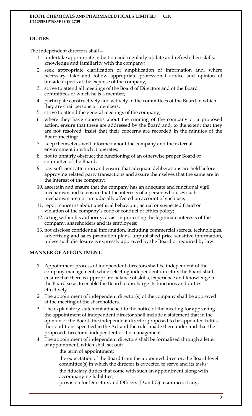#### **DUTIES**

The independent directors shall—

- 1. undertake appropriate induction and regularly update and refresh their skills, knowledge and familiarity with the company;
- 2. seek appropriate clarification or amplification of information and, where necessary, take and follow appropriate professional advice and opinion of outside experts at the expense of the company;
- 3. strive to attend all meetings of the Board of Directors and of the Board committees of which he is a member;
- 4. participate constructively and actively in the committees of the Board in which they are chairpersons or members;
- 5. strive to attend the general meetings of the company;
- 6. where they have concerns about the running of the company or a proposed action, ensure that these are addressed by the Board and, to the extent that they are not resolved, insist that their concerns are recorded in the minutes of the Board meeting;
- 7. keep themselves well informed about the company and the external environment in which it operates;
- 8. not to unfairly obstruct the functioning of an otherwise proper Board or committee of the Board;
- 9. pay sufficient attention and ensure that adequate deliberations are held before approving related party transactions and assure themselves that the same are in the interest of the company;
- 10. ascertain and ensure that the company has an adequate and functional vigil mechanism and to ensure that the interests of a person who uses such mechanism are not prejudicially affected on account of such use;
- 11. report concerns about unethical behaviour, actual or suspected fraud or violation of the company's code of conduct or ethics policy;
- 12. acting within his authority, assist in protecting the legitimate interests of the company, shareholders and its employees;
- 13. not disclose confidential information, including commercial secrets, technologies, advertising and sales promotion plans, unpublished price sensitive information, unless such disclosure is expressly approved by the Board or required by law.

#### **MANNER OF APPOINTMENT:**

- 1. Appointment process of independent directors shall be independent of the company management; while selecting independent directors the Board shall ensure that there is appropriate balance of skills, experience and knowledge in the Board so as to enable the Board to discharge its functions and duties effectively.
- 2. The appointment of independent director(s) of the company shall be approved at the meeting of the shareholders.
- 3. The explanatory statement attached to the notice of the meeting for approving the appointment of independent director shall include a statement that in the opinion of the Board, the independent director proposed to be appointed fulfils the conditions specified in the Act and the rules made thereunder and that the proposed director is independent of the management.
- 4. The appointment of independent directors shall be formalised through a letter of appointment, which shall set out:
	- the term of appointment;
	- the expectation of the Board from the appointed director; the Board-level committee(s) in which the director is expected to serve and its tasks;
	- the fiduciary duties that come with such an appointment along with accompanying liabilities;
	- provision for Directors and Officers (D and O) insurance, if any;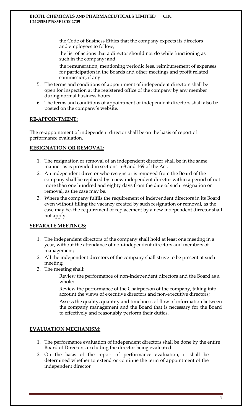the Code of Business Ethics that the company expects its directors and employees to follow;

the list of actions that a director should not do while functioning as such in the company; and

the remuneration, mentioning periodic fees, reimbursement of expenses for participation in the Boards and other meetings and profit related commission, if any.

- 5. The terms and conditions of appointment of independent directors shall be open for inspection at the registered office of the company by any member during normal business hours.
- 6. The terms and conditions of appointment of independent directors shall also be posted on the company's website.

#### **RE-APPOINTMENT:**

The re-appointment of independent director shall be on the basis of report of performance evaluation.

#### **RESIGNATION OR REMOVAL:**

- 1. The resignation or removal of an independent director shall be in the same manner as is provided in sections 168 and 169 of the Act.
- 2. An independent director who resigns or is removed from the Board of the company shall be replaced by a new independent director within a period of not more than one hundred and eighty days from the date of such resignation or removal, as the case may be.
- 3. Where the company fulfils the requirement of independent directors in its Board even without filling the vacancy created by such resignation or removal, as the case may be, the requirement of replacement by a new independent director shall not apply.

#### **SEPARATE MEETINGS:**

- 1. The independent directors of the company shall hold at least one meeting in a year, without the attendance of non-independent directors and members of management;
- 2. All the independent directors of the company shall strive to be present at such meeting;
- 3. The meeting shall:

Review the performance of non-independent directors and the Board as a whole;

Review the performance of the Chairperson of the company, taking into account the views of executive directors and non-executive directors;

Assess the quality, quantity and timeliness of flow of information between the company management and the Board that is necessary for the Board to effectively and reasonably perform their duties.

#### **EVALUATION MECHANISM:**

- 1. The performance evaluation of independent directors shall be done by the entire Board of Directors, excluding the director being evaluated.
- 2. On the basis of the report of performance evaluation, it shall be determined whether to extend or continue the term of appointment of the independent director